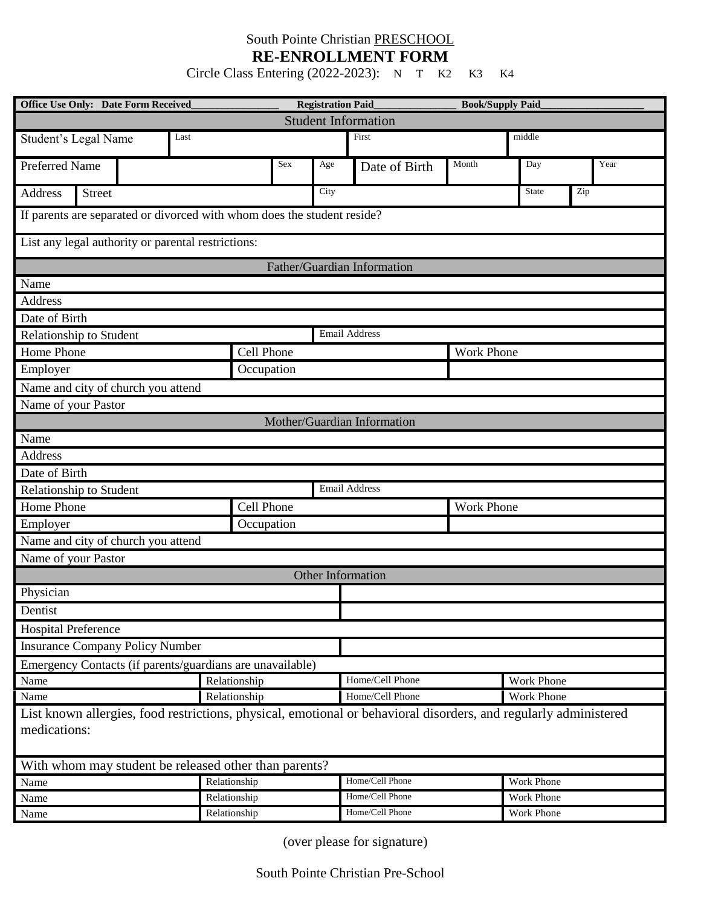## South Pointe Christian PRESCHOOL **RE-ENROLLMENT FORM**

Circle Class Entering (2022-2023): N T K2 K3 K4

| <b>Office Use Only: Date Form Received</b>                                                                                       |              |              | <b>Registration Paid</b> |                 |                 |                   | <b>Book/Supply Paid</b> |      |  |
|----------------------------------------------------------------------------------------------------------------------------------|--------------|--------------|--------------------------|-----------------|-----------------|-------------------|-------------------------|------|--|
| <b>Student Information</b>                                                                                                       |              |              |                          |                 |                 |                   |                         |      |  |
| Last<br>Student's Legal Name                                                                                                     |              |              | First                    |                 |                 |                   | middle                  |      |  |
| Preferred Name                                                                                                                   |              |              | Sex                      | $_{\rm Age}$    | Date of Birth   | Month             | Day                     | Year |  |
| Address<br><b>Street</b>                                                                                                         |              |              |                          | City            |                 |                   | <b>State</b>            | Zip  |  |
| If parents are separated or divorced with whom does the student reside?                                                          |              |              |                          |                 |                 |                   |                         |      |  |
| List any legal authority or parental restrictions:                                                                               |              |              |                          |                 |                 |                   |                         |      |  |
| Father/Guardian Information                                                                                                      |              |              |                          |                 |                 |                   |                         |      |  |
| Name                                                                                                                             |              |              |                          |                 |                 |                   |                         |      |  |
| Address                                                                                                                          |              |              |                          |                 |                 |                   |                         |      |  |
| Date of Birth                                                                                                                    |              |              |                          |                 |                 |                   |                         |      |  |
| <b>Email Address</b><br>Relationship to Student                                                                                  |              |              |                          |                 |                 |                   |                         |      |  |
| Home Phone<br>Cell Phone                                                                                                         |              |              |                          |                 |                 | Work Phone        |                         |      |  |
| Occupation<br>Employer                                                                                                           |              |              |                          |                 |                 |                   |                         |      |  |
| Name and city of church you attend                                                                                               |              |              |                          |                 |                 |                   |                         |      |  |
| Name of your Pastor                                                                                                              |              |              |                          |                 |                 |                   |                         |      |  |
| Mother/Guardian Information                                                                                                      |              |              |                          |                 |                 |                   |                         |      |  |
| Name                                                                                                                             |              |              |                          |                 |                 |                   |                         |      |  |
| Address                                                                                                                          |              |              |                          |                 |                 |                   |                         |      |  |
| Date of Birth                                                                                                                    |              |              |                          |                 |                 |                   |                         |      |  |
| <b>Email Address</b><br>Relationship to Student                                                                                  |              |              |                          |                 |                 |                   |                         |      |  |
| Home Phone<br>Cell Phone                                                                                                         |              |              |                          |                 |                 | <b>Work Phone</b> |                         |      |  |
| Employer<br>Occupation                                                                                                           |              |              |                          |                 |                 |                   |                         |      |  |
| Name and city of church you attend                                                                                               |              |              |                          |                 |                 |                   |                         |      |  |
| Name of your Pastor                                                                                                              |              |              |                          |                 |                 |                   |                         |      |  |
| Other Information                                                                                                                |              |              |                          |                 |                 |                   |                         |      |  |
| Physician                                                                                                                        |              |              |                          |                 |                 |                   |                         |      |  |
| Dentist                                                                                                                          |              |              |                          |                 |                 |                   |                         |      |  |
| <b>Hospital Preference</b>                                                                                                       |              |              |                          |                 |                 |                   |                         |      |  |
| <b>Insurance Company Policy Number</b>                                                                                           |              |              |                          |                 |                 |                   |                         |      |  |
| Emergency Contacts (if parents/guardians are unavailable)                                                                        |              |              |                          |                 |                 |                   |                         |      |  |
| Name                                                                                                                             |              | Relationship |                          |                 | Home/Cell Phone |                   | Work Phone              |      |  |
| Name                                                                                                                             | Relationship |              |                          |                 | Home/Cell Phone |                   | <b>Work Phone</b>       |      |  |
| List known allergies, food restrictions, physical, emotional or behavioral disorders, and regularly administered<br>medications: |              |              |                          |                 |                 |                   |                         |      |  |
| With whom may student be released other than parents?                                                                            |              |              |                          |                 |                 |                   |                         |      |  |
| Name                                                                                                                             | Relationship |              |                          |                 | Home/Cell Phone |                   | Work Phone              |      |  |
| Name                                                                                                                             | Relationship |              |                          |                 | Home/Cell Phone |                   | <b>Work Phone</b>       |      |  |
| Name                                                                                                                             | Relationship |              |                          | Home/Cell Phone |                 |                   | Work Phone              |      |  |

(over please for signature)